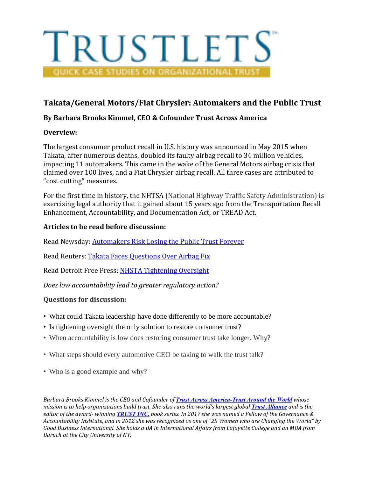# TRUSTLETS QUICK CASE STUDIES ON ORGANIZATIONAL TRUS

## **Takata/General Motors/Fiat Chrysler: Automakers and the Public Trust**

### **By Barbara Brooks Kimmel, CEO & Cofounder Trust Across America**

#### **Overview:**

The largest consumer product recall in U.S. history was announced in May 2015 when Takata, after numerous deaths, doubled its faulty airbag recall to 34 million vehicles, impacting 11 automakers. This came in the wake of the General Motors airbag crisis that claimed over 100 lives, and a Fiat Chrysler airbag recall. All three cases are attributed to "cost cutting" measures.

For the first time in history, the NHTSA (National Highway Traffic Safety Administration) is exercising legal authority that it gained about 15 years ago from the Transportation Recall Enhancement, Accountability, and Documentation Act, or TREAD Act.

#### **Articles to be read before discussion:**

Read Newsday: [Automakers](http://www.newsday.com/opinion/oped/automakers-risk-losing-the-public-trust-forever-1.10458955) Risk Losing the Public Trust Forever

Read Reuters: Takata Faces [Questions](http://www.reuters.com/article/2015/05/26/us-autos-takata-recall-idUSKBN0OB27J20150526) Over Airbag Fix

Read Detroit Free Press: NHSTA [Tightening](http://www.freep.com/story/money/business/2015/05/21/nhtsa-takata-automakers-recall-process-federal-registrar/27715797/) Oversight

*Does low accountability lead to greater regulatory action?*

#### **Questions for discussion:**

- What could Takata leadership have done differently to be more accountable?
- Is tightening oversight the only solution to restore consumer trust?
- When accountability is low does restoring consumer trust take longer. Why?
- What steps should every automotive CEO be taking to walk the trust talk?
- Who is a good example and why?

*Barbara Brooks Kimmel is the CEO and Cofounder of Trust Across [America-Trust](http://trustacrossamerica.com/index.shtml) Around the World whose* mission is to help organizations build trust. She also runs the world's largest global Trust [Alliance](http://trustacrossamerica.com/cgi-bin/alliance.cgi) and is the editor of the award-winning [TRUST](http://trustacrossamerica.com/order.shtml) INC. book series. In 2017 she was named a Fellow of the Governance  $\&$ Accountability Institute, and in 2012 she was recognized as one of "25 Women who are Changing the World" by Good Business International. She holds a BA in International Affairs from Lafayette College and an MBA from *Baruch at the City University of NY.*